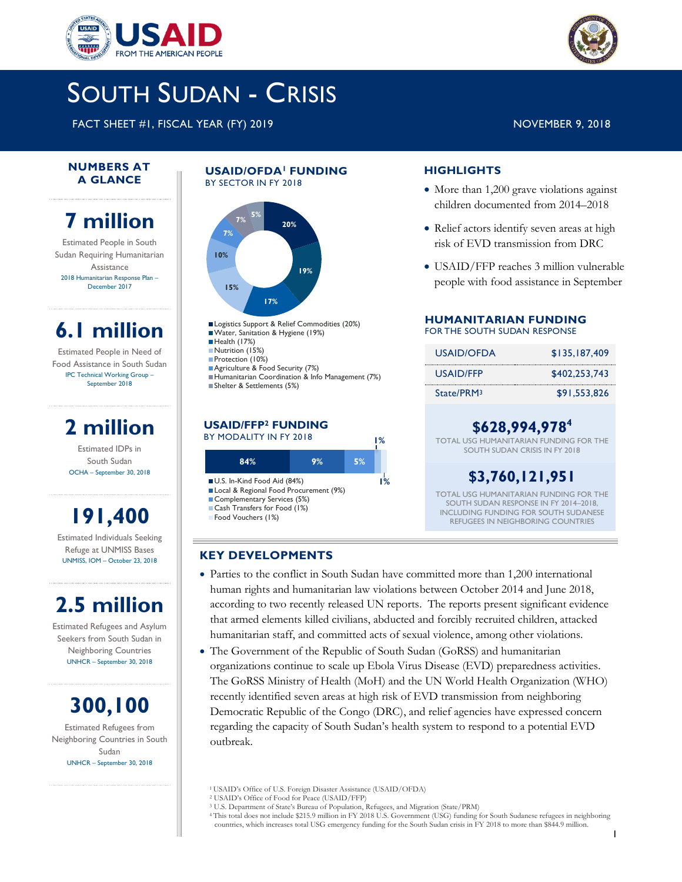



FACT SHEET #1, FISCAL YEAR (FY) 2019 NOVEMBER 9, 2018

#### **NUMBERS AT A GLANCE**

# **7 million**

Estimated People in South Sudan Requiring Humanitarian Assistance 2018 Humanitarian Response Plan – December 2017

# **6.1 million**

Estimated People in Need of Food Assistance in South Sudan IPC Technical Working Group – September 2018

# **2 million**

Estimated IDPs in South Sudan OCHA – September 30, 2018

# **191,400**

Estimated Individuals Seeking Refuge at UNMISS Bases UNMISS, IOM – October 23, 2018

# **2.5 million**

Estimated Refugees and Asylum Seekers from South Sudan in Neighboring Countries UNHCR – September 30, 2018

**300,100** Estimated Refugees from

Neighboring Countries in South Sudan UNHCR – September 30, 2018

#### **USAID/OFDA<sup>1</sup>FUNDING**  BY SECTOR IN FY 2018



Logistics Support & Relief Commodities (20%) Water, Sanitation & Hygiene (19%) Health (17%) Nutrition (15%) Protection (10%) Agriculture & Food Security (7%) Humanitarian Coordination & Info Management (7%) Shelter & Settlements (5%)

#### **USAID/FFP<sup>2</sup> FUNDING** BY MODALITY IN FY 2018



### **KEY DEVELOPMENTS**

- Parties to the conflict in South Sudan have committed more than 1,200 international human rights and humanitarian law violations between October 2014 and June 2018, according to two recently released UN reports. The reports present significant evidence that armed elements killed civilians, abducted and forcibly recruited children, attacked humanitarian staff, and committed acts of sexual violence, among other violations.
- The Government of the Republic of South Sudan (GoRSS) and humanitarian organizations continue to scale up Ebola Virus Disease (EVD) preparedness activities. The GoRSS Ministry of Health (MoH) and the UN World Health Organization (WHO) recently identified seven areas at high risk of EVD transmission from neighboring Democratic Republic of the Congo (DRC), and relief agencies have expressed concern regarding the capacity of South Sudan's health system to respond to a potential EVD outbreak.

<sup>1</sup>USAID's Office of U.S. Foreign Disaster Assistance (USAID/OFDA)

- <sup>2</sup> USAID's Office of Food for Peace (USAID/FFP)
- <sup>3</sup> U.S. Department of State's Bureau of Population, Refugees, and Migration (State/PRM)

<sup>4</sup> This total does not include \$215.9 million in FY 2018 U.S. Government (USG) funding for South Sudanese refugees in neighboring countries, which increases total USG emergency funding for the South Sudan crisis in FY 2018 to more than \$844.9 million.

# **HIGHLIGHTS**

- More than 1,200 grave violations against children documented from 2014–2018
- Relief actors identify seven areas at high risk of EVD transmission from DRC
- USAID/FFP reaches 3 million vulnerable people with food assistance in September

### **HUMANITARIAN FUNDING** FOR THE SOUTH SUDAN RESPONSE

| USAID/OFDA             | \$135,187,409 |
|------------------------|---------------|
| USAID/FFP              | \$402,253,743 |
| State/PRM <sub>3</sub> | \$91.553.826  |

# **\$628,994,978<sup>4</sup>**

TOTAL USG HUMANITARIAN FUNDING FOR THE SOUTH SUDAN CRISIS IN FY 2018

# **\$3,760,121,951**

TOTAL USG HUMANITARIAN FUNDING FOR THE SOUTH SUDAN RESPONSE IN FY 2014–2018, INCLUDING FUNDING FOR SOUTH SUDANESE REFUGEES IN NEIGHBORING COUNTRIES

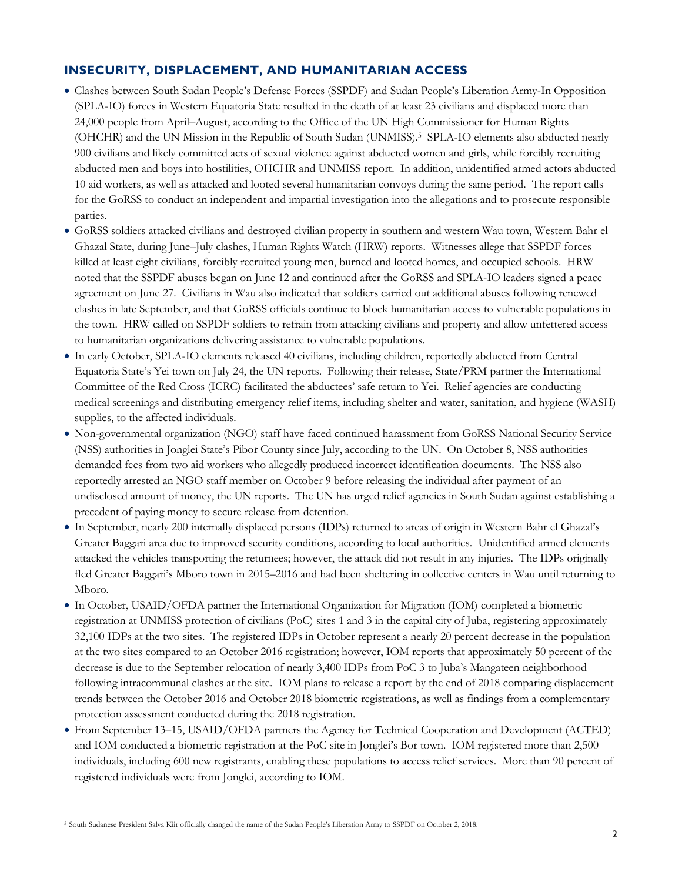# **INSECURITY, DISPLACEMENT, AND HUMANITARIAN ACCESS**

- Clashes between South Sudan People's Defense Forces (SSPDF) and Sudan People's Liberation Army-In Opposition (SPLA-IO) forces in Western Equatoria State resulted in the death of at least 23 civilians and displaced more than 24,000 people from April–August, according to the Office of the UN High Commissioner for Human Rights (OHCHR) and the UN Mission in the Republic of South Sudan (UNMISS). 5 SPLA-IO elements also abducted nearly 900 civilians and likely committed acts of sexual violence against abducted women and girls, while forcibly recruiting abducted men and boys into hostilities, OHCHR and UNMISS report. In addition, unidentified armed actors abducted 10 aid workers, as well as attacked and looted several humanitarian convoys during the same period. The report calls for the GoRSS to conduct an independent and impartial investigation into the allegations and to prosecute responsible parties.
- GoRSS soldiers attacked civilians and destroyed civilian property in southern and western Wau town, Western Bahr el Ghazal State, during June–July clashes, Human Rights Watch (HRW) reports. Witnesses allege that SSPDF forces killed at least eight civilians, forcibly recruited young men, burned and looted homes, and occupied schools. HRW noted that the SSPDF abuses began on June 12 and continued after the GoRSS and SPLA-IO leaders signed a peace agreement on June 27. Civilians in Wau also indicated that soldiers carried out additional abuses following renewed clashes in late September, and that GoRSS officials continue to block humanitarian access to vulnerable populations in the town. HRW called on SSPDF soldiers to refrain from attacking civilians and property and allow unfettered access to humanitarian organizations delivering assistance to vulnerable populations.
- In early October, SPLA-IO elements released 40 civilians, including children, reportedly abducted from Central Equatoria State's Yei town on July 24, the UN reports. Following their release, State/PRM partner the International Committee of the Red Cross (ICRC) facilitated the abductees' safe return to Yei. Relief agencies are conducting medical screenings and distributing emergency relief items, including shelter and water, sanitation, and hygiene (WASH) supplies, to the affected individuals.
- Non-governmental organization (NGO) staff have faced continued harassment from GoRSS National Security Service (NSS) authorities in Jonglei State's Pibor County since July, according to the UN. On October 8, NSS authorities demanded fees from two aid workers who allegedly produced incorrect identification documents. The NSS also reportedly arrested an NGO staff member on October 9 before releasing the individual after payment of an undisclosed amount of money, the UN reports. The UN has urged relief agencies in South Sudan against establishing a precedent of paying money to secure release from detention.
- In September, nearly 200 internally displaced persons (IDPs) returned to areas of origin in Western Bahr el Ghazal's Greater Baggari area due to improved security conditions, according to local authorities. Unidentified armed elements attacked the vehicles transporting the returnees; however, the attack did not result in any injuries. The IDPs originally fled Greater Baggari's Mboro town in 2015–2016 and had been sheltering in collective centers in Wau until returning to Mboro.
- In October, USAID/OFDA partner the International Organization for Migration (IOM) completed a biometric registration at UNMISS protection of civilians (PoC) sites 1 and 3 in the capital city of Juba, registering approximately 32,100 IDPs at the two sites. The registered IDPs in October represent a nearly 20 percent decrease in the population at the two sites compared to an October 2016 registration; however, IOM reports that approximately 50 percent of the decrease is due to the September relocation of nearly 3,400 IDPs from PoC 3 to Juba's Mangateen neighborhood following intracommunal clashes at the site. IOM plans to release a report by the end of 2018 comparing displacement trends between the October 2016 and October 2018 biometric registrations, as well as findings from a complementary protection assessment conducted during the 2018 registration.
- From September 13–15, USAID/OFDA partners the Agency for Technical Cooperation and Development (ACTED) and IOM conducted a biometric registration at the PoC site in Jonglei's Bor town. IOM registered more than 2,500 individuals, including 600 new registrants, enabling these populations to access relief services. More than 90 percent of registered individuals were from Jonglei, according to IOM.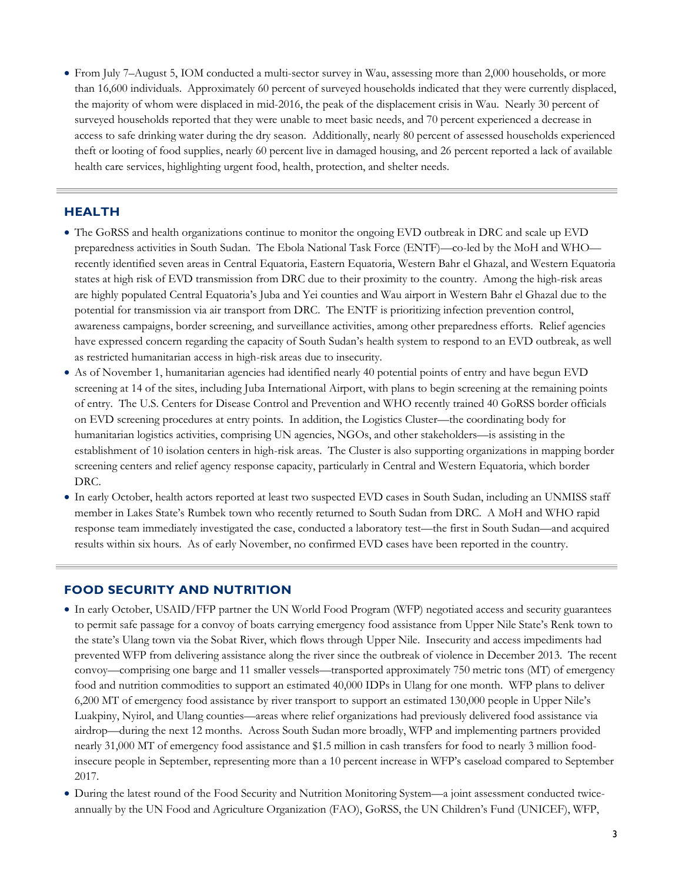From July 7–August 5, IOM conducted a multi-sector survey in Wau, assessing more than 2,000 households, or more than 16,600 individuals. Approximately 60 percent of surveyed households indicated that they were currently displaced, the majority of whom were displaced in mid-2016, the peak of the displacement crisis in Wau. Nearly 30 percent of surveyed households reported that they were unable to meet basic needs, and 70 percent experienced a decrease in access to safe drinking water during the dry season. Additionally, nearly 80 percent of assessed households experienced theft or looting of food supplies, nearly 60 percent live in damaged housing, and 26 percent reported a lack of available health care services, highlighting urgent food, health, protection, and shelter needs.

### **HEALTH**

- The GoRSS and health organizations continue to monitor the ongoing EVD outbreak in DRC and scale up EVD preparedness activities in South Sudan. The Ebola National Task Force (ENTF)—co-led by the MoH and WHO recently identified seven areas in Central Equatoria, Eastern Equatoria, Western Bahr el Ghazal, and Western Equatoria states at high risk of EVD transmission from DRC due to their proximity to the country. Among the high-risk areas are highly populated Central Equatoria's Juba and Yei counties and Wau airport in Western Bahr el Ghazal due to the potential for transmission via air transport from DRC. The ENTF is prioritizing infection prevention control, awareness campaigns, border screening, and surveillance activities, among other preparedness efforts. Relief agencies have expressed concern regarding the capacity of South Sudan's health system to respond to an EVD outbreak, as well as restricted humanitarian access in high-risk areas due to insecurity.
- As of November 1, humanitarian agencies had identified nearly 40 potential points of entry and have begun EVD screening at 14 of the sites, including Juba International Airport, with plans to begin screening at the remaining points of entry. The U.S. Centers for Disease Control and Prevention and WHO recently trained 40 GoRSS border officials on EVD screening procedures at entry points. In addition, the Logistics Cluster—the coordinating body for humanitarian logistics activities, comprising UN agencies, NGOs, and other stakeholders—is assisting in the establishment of 10 isolation centers in high-risk areas. The Cluster is also supporting organizations in mapping border screening centers and relief agency response capacity, particularly in Central and Western Equatoria, which border DRC.
- In early October, health actors reported at least two suspected EVD cases in South Sudan, including an UNMISS staff member in Lakes State's Rumbek town who recently returned to South Sudan from DRC. A MoH and WHO rapid response team immediately investigated the case, conducted a laboratory test—the first in South Sudan—and acquired results within six hours. As of early November, no confirmed EVD cases have been reported in the country.

### **FOOD SECURITY AND NUTRITION**

- In early October, USAID/FFP partner the UN World Food Program (WFP) negotiated access and security guarantees to permit safe passage for a convoy of boats carrying emergency food assistance from Upper Nile State's Renk town to the state's Ulang town via the Sobat River, which flows through Upper Nile. Insecurity and access impediments had prevented WFP from delivering assistance along the river since the outbreak of violence in December 2013. The recent convoy—comprising one barge and 11 smaller vessels—transported approximately 750 metric tons (MT) of emergency food and nutrition commodities to support an estimated 40,000 IDPs in Ulang for one month. WFP plans to deliver 6,200 MT of emergency food assistance by river transport to support an estimated 130,000 people in Upper Nile's Luakpiny, Nyirol, and Ulang counties—areas where relief organizations had previously delivered food assistance via airdrop—during the next 12 months. Across South Sudan more broadly, WFP and implementing partners provided nearly 31,000 MT of emergency food assistance and \$1.5 million in cash transfers for food to nearly 3 million foodinsecure people in September, representing more than a 10 percent increase in WFP's caseload compared to September 2017.
- During the latest round of the Food Security and Nutrition Monitoring System—a joint assessment conducted twiceannually by the UN Food and Agriculture Organization (FAO), GoRSS, the UN Children's Fund (UNICEF), WFP,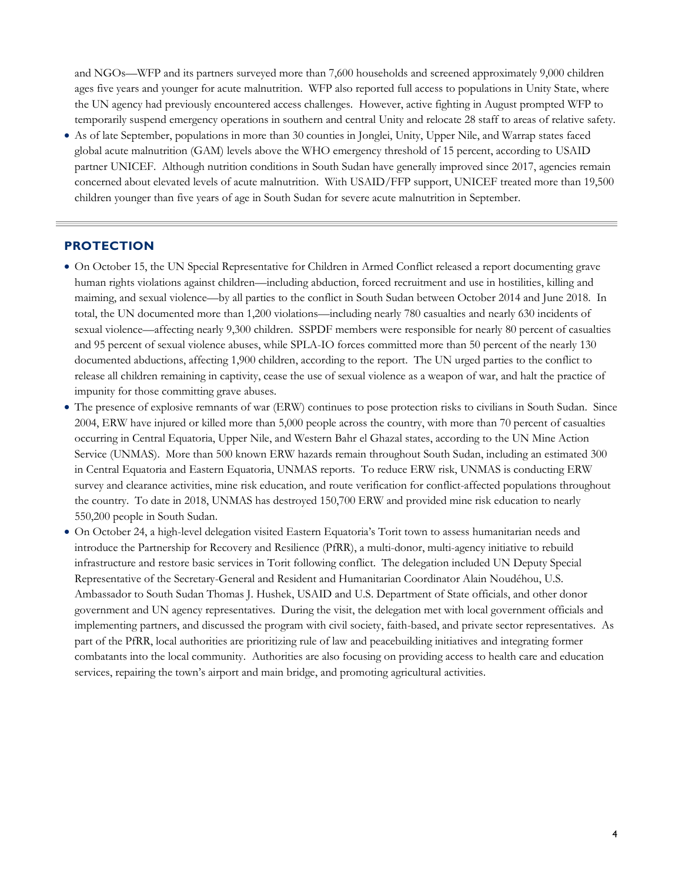and NGOs—WFP and its partners surveyed more than 7,600 households and screened approximately 9,000 children ages five years and younger for acute malnutrition. WFP also reported full access to populations in Unity State, where the UN agency had previously encountered access challenges. However, active fighting in August prompted WFP to temporarily suspend emergency operations in southern and central Unity and relocate 28 staff to areas of relative safety.

 As of late September, populations in more than 30 counties in Jonglei, Unity, Upper Nile, and Warrap states faced global acute malnutrition (GAM) levels above the WHO emergency threshold of 15 percent, according to USAID partner UNICEF. Although nutrition conditions in South Sudan have generally improved since 2017, agencies remain concerned about elevated levels of acute malnutrition. With USAID/FFP support, UNICEF treated more than 19,500 children younger than five years of age in South Sudan for severe acute malnutrition in September.

### **PROTECTION**

- On October 15, the UN Special Representative for Children in Armed Conflict released a report documenting grave human rights violations against children—including abduction, forced recruitment and use in hostilities, killing and maiming, and sexual violence—by all parties to the conflict in South Sudan between October 2014 and June 2018. In total, the UN documented more than 1,200 violations—including nearly 780 casualties and nearly 630 incidents of sexual violence—affecting nearly 9,300 children. SSPDF members were responsible for nearly 80 percent of casualties and 95 percent of sexual violence abuses, while SPLA-IO forces committed more than 50 percent of the nearly 130 documented abductions, affecting 1,900 children, according to the report. The UN urged parties to the conflict to release all children remaining in captivity, cease the use of sexual violence as a weapon of war, and halt the practice of impunity for those committing grave abuses.
- The presence of explosive remnants of war (ERW) continues to pose protection risks to civilians in South Sudan. Since 2004, ERW have injured or killed more than 5,000 people across the country, with more than 70 percent of casualties occurring in Central Equatoria, Upper Nile, and Western Bahr el Ghazal states, according to the UN Mine Action Service (UNMAS). More than 500 known ERW hazards remain throughout South Sudan, including an estimated 300 in Central Equatoria and Eastern Equatoria, UNMAS reports. To reduce ERW risk, UNMAS is conducting ERW survey and clearance activities, mine risk education, and route verification for conflict-affected populations throughout the country. To date in 2018, UNMAS has destroyed 150,700 ERW and provided mine risk education to nearly 550,200 people in South Sudan.
- On October 24, a high-level delegation visited Eastern Equatoria's Torit town to assess humanitarian needs and introduce the Partnership for Recovery and Resilience (PfRR), a multi-donor, multi-agency initiative to rebuild infrastructure and restore basic services in Torit following conflict. The delegation included UN Deputy Special Representative of the Secretary-General and Resident and Humanitarian Coordinator Alain Noudéhou, U.S. Ambassador to South Sudan Thomas J. Hushek, USAID and U.S. Department of State officials, and other donor government and UN agency representatives. During the visit, the delegation met with local government officials and implementing partners, and discussed the program with civil society, faith-based, and private sector representatives. As part of the PfRR, local authorities are prioritizing rule of law and peacebuilding initiatives and integrating former combatants into the local community. Authorities are also focusing on providing access to health care and education services, repairing the town's airport and main bridge, and promoting agricultural activities.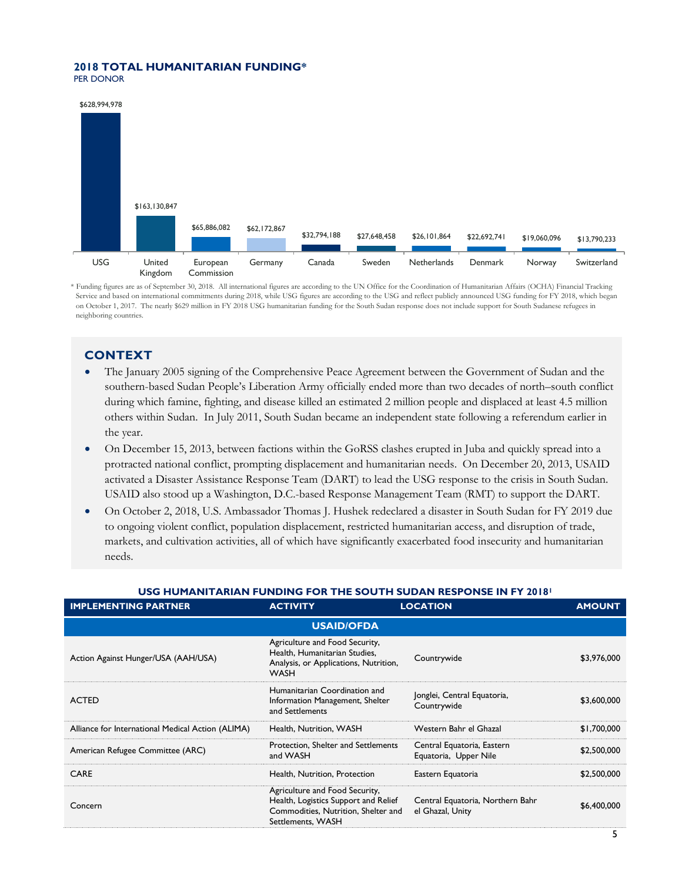#### **2018 TOTAL HUMANITARIAN FUNDING\***  PER DONOR



\* Funding figures are as of September 30, 2018. All international figures are according to the UN Office for the Coordination of Humanitarian Affairs (OCHA) Financial Tracking Service and based on international commitments during 2018, while USG figures are according to the USG and reflect publicly announced USG funding for FY 2018, which began on October 1, 2017. The nearly \$629 million in FY 2018 USG humanitarian funding for the South Sudan response does not include support for South Sudanese refugees in neighboring countries.

# **CONTEXT**

- The January 2005 signing of the Comprehensive Peace Agreement between the Government of Sudan and the southern-based Sudan People's Liberation Army officially ended more than two decades of north–south conflict during which famine, fighting, and disease killed an estimated 2 million people and displaced at least 4.5 million others within Sudan. In July 2011, South Sudan became an independent state following a referendum earlier in the year.
- On December 15, 2013, between factions within the GoRSS clashes erupted in Juba and quickly spread into a protracted national conflict, prompting displacement and humanitarian needs. On December 20, 2013, USAID activated a Disaster Assistance Response Team (DART) to lead the USG response to the crisis in South Sudan. USAID also stood up a Washington, D.C.-based Response Management Team (RMT) to support the DART.
- On October 2, 2018, U.S. Ambassador Thomas J. Hushek redeclared a disaster in South Sudan for FY 2019 due to ongoing violent conflict, population displacement, restricted humanitarian access, and disruption of trade, markets, and cultivation activities, all of which have significantly exacerbated food insecurity and humanitarian needs.

### **USG HUMANITARIAN FUNDING FOR THE SOUTH SUDAN RESPONSE IN FY 2018<sup>1</sup>**

| <b>IMPLEMENTING PARTNER</b>                       | <b>ACTIVITY</b>                                                                                                                    | <b>LOCATION</b>                                      | <b>AMOUNT</b> |  |
|---------------------------------------------------|------------------------------------------------------------------------------------------------------------------------------------|------------------------------------------------------|---------------|--|
| <b>USAID/OFDA</b>                                 |                                                                                                                                    |                                                      |               |  |
| Action Against Hunger/USA (AAH/USA)               | Agriculture and Food Security,<br>Health, Humanitarian Studies,<br>Analysis, or Applications, Nutrition,<br><b>WASH</b>            | Countrywide                                          | \$3,976,000   |  |
| <b>ACTED</b>                                      | Humanitarian Coordination and<br>Information Management, Shelter<br>and Settlements                                                | Jonglei, Central Equatoria,<br>Countrywide           | \$3,600,000   |  |
| Alliance for International Medical Action (ALIMA) | Health, Nutrition, WASH                                                                                                            | Western Bahr el Ghazal                               | \$1,700,000   |  |
| American Refugee Committee (ARC)                  | Protection, Shelter and Settlements<br>and WASH                                                                                    | Central Equatoria, Eastern<br>Equatoria, Upper Nile  | \$2,500,000   |  |
| <b>CARE</b>                                       | Health, Nutrition, Protection                                                                                                      | Eastern Equatoria                                    | \$2,500,000   |  |
| Concern                                           | Agriculture and Food Security,<br>Health, Logistics Support and Relief<br>Commodities, Nutrition, Shelter and<br>Settlements, WASH | Central Equatoria, Northern Bahr<br>el Ghazal, Unity | \$6,400,000   |  |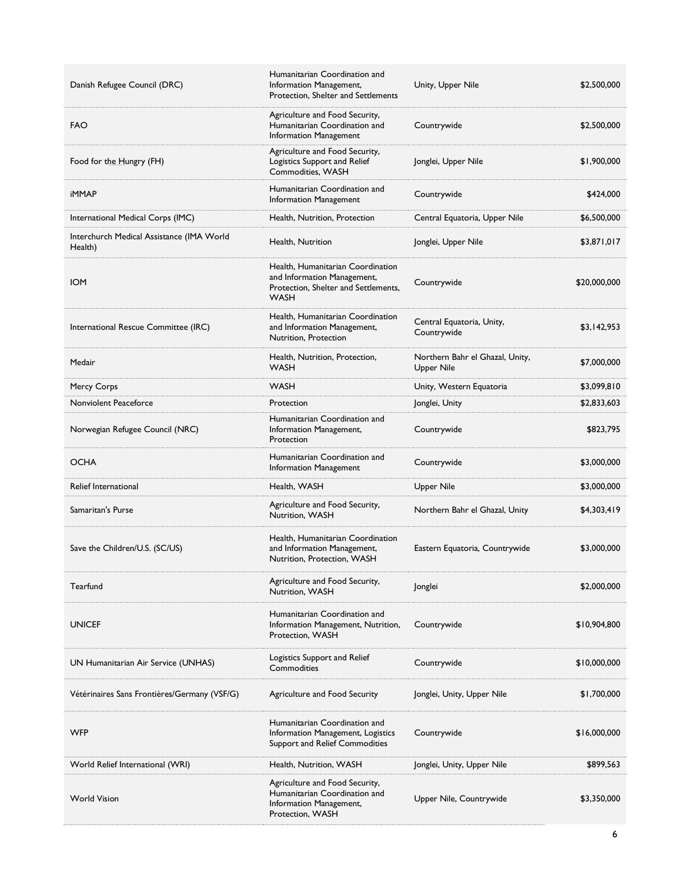| Danish Refugee Council (DRC)                         | Humanitarian Coordination and<br>Information Management,<br>Protection, Shelter and Settlements                         | Unity, Upper Nile                                    | \$2,500,000  |
|------------------------------------------------------|-------------------------------------------------------------------------------------------------------------------------|------------------------------------------------------|--------------|
| <b>FAO</b>                                           | Agriculture and Food Security,<br>Humanitarian Coordination and<br>Information Management                               | Countrywide                                          | \$2,500,000  |
| Food for the Hungry (FH)                             | Agriculture and Food Security,<br>Logistics Support and Relief<br>Commodities, WASH                                     | Jonglei, Upper Nile                                  | \$1,900,000  |
| <b>iMMAP</b>                                         | Humanitarian Coordination and<br>Information Management                                                                 | Countrywide                                          | \$424,000    |
| International Medical Corps (IMC)                    | Health, Nutrition, Protection                                                                                           | Central Equatoria, Upper Nile                        | \$6,500,000  |
| Interchurch Medical Assistance (IMA World<br>Health) | Health, Nutrition                                                                                                       | Jonglei, Upper Nile                                  | \$3,871,017  |
| <b>IOM</b>                                           | Health, Humanitarian Coordination<br>and Information Management,<br>Protection, Shelter and Settlements,<br><b>WASH</b> | Countrywide                                          | \$20,000,000 |
| International Rescue Committee (IRC)                 | Health, Humanitarian Coordination<br>and Information Management,<br>Nutrition, Protection                               | Central Equatoria, Unity,<br>Countrywide             | \$3,142,953  |
| Medair                                               | Health, Nutrition, Protection,<br><b>WASH</b>                                                                           | Northern Bahr el Ghazal, Unity,<br><b>Upper Nile</b> | \$7,000,000  |
| Mercy Corps                                          | <b>WASH</b>                                                                                                             | Unity, Western Equatoria                             | \$3,099,810  |
| Nonviolent Peaceforce                                | Protection                                                                                                              | Jonglei, Unity                                       | \$2,833,603  |
| Norwegian Refugee Council (NRC)                      | Humanitarian Coordination and<br>Information Management,<br>Protection                                                  | Countrywide                                          | \$823,795    |
| <b>OCHA</b>                                          | Humanitarian Coordination and<br>Information Management                                                                 | Countrywide                                          | \$3,000,000  |
| Relief International                                 | Health, WASH                                                                                                            | <b>Upper Nile</b>                                    | \$3,000,000  |
| Samaritan's Purse                                    | Agriculture and Food Security,<br>Nutrition, WASH                                                                       | Northern Bahr el Ghazal, Unity                       | \$4,303,419  |
| Save the Children/U.S. (SC/US)                       | Health, Humanitarian Coordination<br>and Information Management,<br>Nutrition, Protection, WASH                         | Eastern Equatoria, Countrywide                       | \$3,000,000  |
| Tearfund                                             | Agriculture and Food Security,<br>Nutrition, WASH                                                                       | Jonglei                                              | \$2,000,000  |
| <b>UNICEF</b>                                        | Humanitarian Coordination and<br>Information Management, Nutrition,<br>Protection, WASH                                 | Countrywide                                          | \$10,904,800 |
| UN Humanitarian Air Service (UNHAS)                  | Logistics Support and Relief<br>Commodities                                                                             | Countrywide                                          | \$10,000,000 |
| Vétérinaires Sans Frontières/Germany (VSF/G)         | Agriculture and Food Security                                                                                           | Jonglei, Unity, Upper Nile                           | \$1,700,000  |
| <b>WFP</b>                                           | Humanitarian Coordination and<br>Information Management, Logistics<br>Support and Relief Commodities                    | Countrywide                                          | \$16,000,000 |
| World Relief International (WRI)                     | Health, Nutrition, WASH                                                                                                 | Jonglei, Unity, Upper Nile                           | \$899,563    |
| <b>World Vision</b>                                  | Agriculture and Food Security,<br>Humanitarian Coordination and<br>Information Management,<br>Protection, WASH          | Upper Nile, Countrywide                              | \$3,350,000  |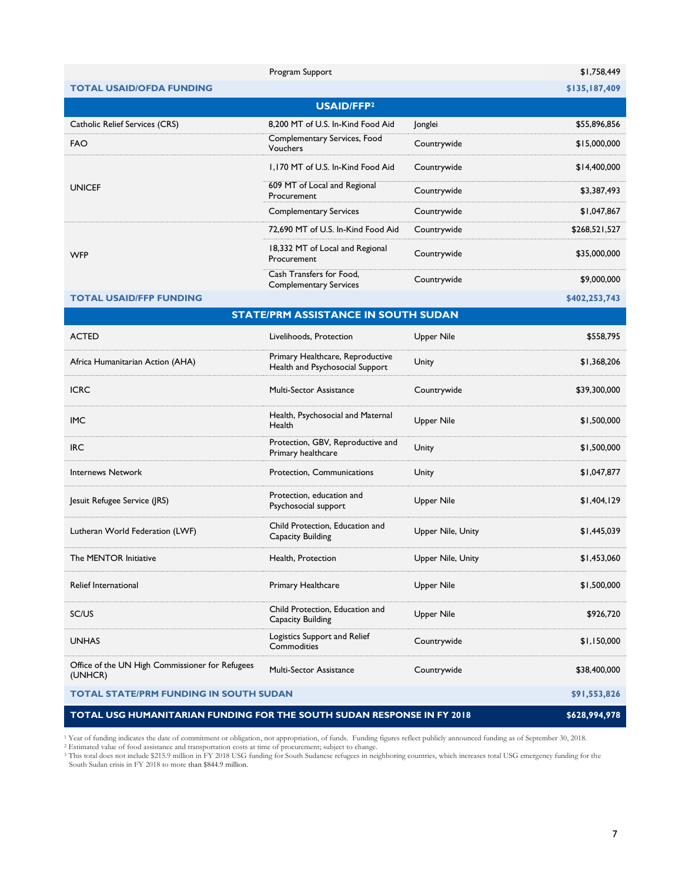|                                                                        | Program Support                                                     |                   | \$1,758,449   |
|------------------------------------------------------------------------|---------------------------------------------------------------------|-------------------|---------------|
| <b>TOTAL USAID/OFDA FUNDING</b>                                        |                                                                     |                   | \$135,187,409 |
|                                                                        | <b>USAID/FFP2</b>                                                   |                   |               |
| Catholic Relief Services (CRS)                                         | 8,200 MT of U.S. In-Kind Food Aid                                   | Jonglei           | \$55,896,856  |
| <b>FAO</b>                                                             | Complementary Services, Food<br>Vouchers                            | Countrywide       | \$15,000,000  |
|                                                                        | 1,170 MT of U.S. In-Kind Food Aid                                   | Countrywide       | \$14,400,000  |
| <b>UNICEF</b>                                                          | 609 MT of Local and Regional<br>Procurement                         | Countrywide       | \$3,387,493   |
|                                                                        | <b>Complementary Services</b>                                       | Countrywide       | \$1,047,867   |
|                                                                        | 72,690 MT of U.S. In-Kind Food Aid                                  | Countrywide       | \$268,521,527 |
| <b>WFP</b>                                                             | 18,332 MT of Local and Regional<br>Procurement                      | Countrywide       | \$35,000,000  |
|                                                                        | Cash Transfers for Food,<br><b>Complementary Services</b>           | Countrywide       | \$9,000,000   |
| <b>TOTAL USAID/FFP FUNDING</b>                                         |                                                                     |                   | \$402,253,743 |
|                                                                        | <b>STATE/PRM ASSISTANCE IN SOUTH SUDAN</b>                          |                   |               |
| <b>ACTED</b>                                                           | Livelihoods, Protection                                             | Upper Nile        | \$558,795     |
| Africa Humanitarian Action (AHA)                                       | Primary Healthcare, Reproductive<br>Health and Psychosocial Support | Unity             | \$1,368,206   |
| <b>ICRC</b>                                                            | Multi-Sector Assistance                                             | Countrywide       | \$39,300,000  |
| <b>IMC</b>                                                             | Health, Psychosocial and Maternal<br>Health                         | <b>Upper Nile</b> | \$1,500,000   |
| <b>IRC</b>                                                             | Protection, GBV, Reproductive and<br>Primary healthcare             | Unity             | \$1,500,000   |
| <b>Internews Network</b>                                               | Protection, Communications                                          | Unity             | \$1,047,877   |
| Jesuit Refugee Service (JRS)                                           | Protection, education and<br>Psychosocial support                   | <b>Upper Nile</b> | \$1,404,129   |
| Lutheran World Federation (LWF)                                        | Child Protection, Education and<br>Capacity Building                | Upper Nile, Unity | \$1,445,039   |
| The MENTOR Initiative                                                  | Health, Protection                                                  | Upper Nile, Unity | \$1,453,060   |
| Relief International                                                   | Primary Healthcare                                                  | <b>Upper Nile</b> | \$1,500,000   |
| SC/US                                                                  | Child Protection, Education and<br>Capacity Building                | <b>Upper Nile</b> | \$926,720     |
| <b>UNHAS</b>                                                           | Logistics Support and Relief<br>Commodities                         | Countrywide       | \$1,150,000   |
| Office of the UN High Commissioner for Refugees<br>(UNHCR)             | Multi-Sector Assistance                                             | Countrywide       | \$38,400,000  |
| <b>TOTAL STATE/PRM FUNDING IN SOUTH SUDAN</b>                          |                                                                     |                   | \$91,553,826  |
| TOTAL USG HUMANITARIAN FUNDING FOR THE SOUTH SUDAN RESPONSE IN FY 2018 |                                                                     |                   | \$628,994,978 |

<sup>1</sup> Year of funding indicates the date of commitment or obligation, not appropriation, of funds. Funding figures reflect publicly announced funding as of September 30, 2018.<br><sup>2</sup> Estimated value of food assistance and trans